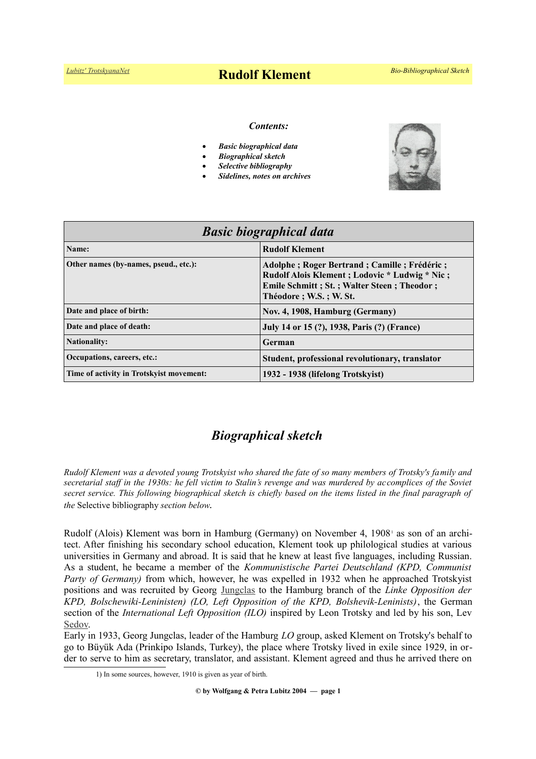# *[Lubitz' TrotskyanaNet](https://www.trotskyana.net/)* **Rudolf Klement** *Bio-Bibliographical Sketch*

### *Contents:*

- *Basic biographical data*
- *Biographical sketch*
- *Selective bibliography*
- *Sidelines, notes on archives*



| <b>Basic biographical data</b>           |                                                                                                                                                                        |
|------------------------------------------|------------------------------------------------------------------------------------------------------------------------------------------------------------------------|
| Name:                                    | <b>Rudolf Klement</b>                                                                                                                                                  |
| Other names (by-names, pseud., etc.):    | Adolphe; Roger Bertrand; Camille; Frédéric;<br>Rudolf Alois Klement; Lodovic * Ludwig * Nic;<br>Emile Schmitt; St.; Walter Steen; Theodor;<br>Théodore : W.S. : W. St. |
| Date and place of birth:                 | Nov. 4, 1908, Hamburg (Germany)                                                                                                                                        |
| Date and place of death:                 | July 14 or 15 (?), 1938, Paris (?) (France)                                                                                                                            |
| <b>Nationality:</b>                      | German                                                                                                                                                                 |
| Occupations, careers, etc.:              | Student, professional revolutionary, translator                                                                                                                        |
| Time of activity in Trotskyist movement: | 1932 - 1938 (lifelong Trotskyist)                                                                                                                                      |

# *Biographical sketch*

*Rudolf Klement was a devoted young Trotskyist who shared the fate of so many members of Trotsky's family and secretarial staff in the 1930s: he fell victim to Stalin's revenge and was murdered by accomplices of the Soviet secret service. This following biographical sketch is chiefly based on the items listed in the final paragraph of the* Selective bibliography *section below*.

Rudolf (Alois) Klement was born in Hamburg (Germany) on November 4, [1](#page-0-0)908<sup>1</sup> as son of an architect. After finishing his secondary school education, Klement took up philological studies at various universities in Germany and abroad. It is said that he knew at least five languages, including Russian. As a student, he became a member of the *Kommunistische Partei Deutschland (KPD, Communist Party of Germany)* from which, however, he was expelled in 1932 when he approached Trotskyist positions and was recruited by Georg [Jungclas](https://de.wikipedia.org/wiki/Georg_Jungclas) to the Hamburg branch of the *Linke Opposition der KPD, Bolschewiki-Leninisten) (LO, Left Opposition of the KPD, Bolshevik-Leninists)*, the German section of the *International Left Opposition (ILO)* inspired by Leon Trotsky and led by his son, Lev [Sedov.](https://en.wikipedia.org/wiki/Lev_Sedov)

Early in 1933, Georg Jungclas, leader of the Hamburg *LO* group, asked Klement on Trotsky's behalf to go to Büyük Ada (Prinkipo Islands, Turkey), the place where Trotsky lived in exile since 1929, in order to serve to him as secretary, translator, and assistant. Klement agreed and thus he arrived there on

<span id="page-0-0"></span><sup>1)</sup> In some sources, however, 1910 is given as year of birth.

**<sup>©</sup> by Wolfgang & Petra Lubitz 2004 — page 1**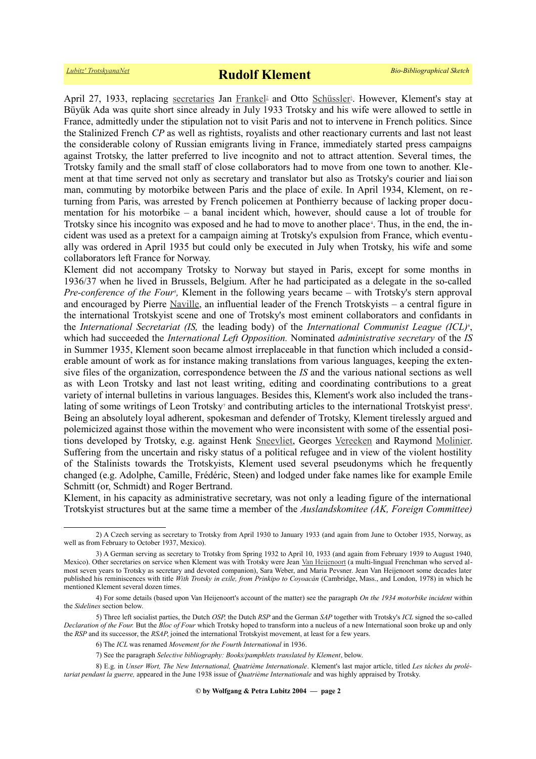April 27, 1933, replacing [secretaries](https://www.trotskyana.net/Leon_Trotsky/Pseudonyms/trotsky_pseudonyms.html#secretaries) Jan [Frankel](https://www.trotskyana.net/Trotskyists/Bio-Bibliographies/bio-bibl_frankel.pdf)<sup>[2](http://www.trotskyana.net/Trotskyists/Bio-Bibliographies/bio-bibl_frankel.pdf)</sup> and Otto [Schüssler](https://www.trotskyana.net/Trotskyists/Bio-Bibliographies/bio-bibl_schuessler.pdf)<sup>[3](http://www.trotskyana.net/Trotskyists/Bio-Bibliographies/bio-bibl_schuessler.pdf)</sup>. However, Klement's stay at Büyük Ada was quite short since already in July 1933 Trotsky and his wife were allowed to settle in France, admittedly under the stipulation not to visit Paris and not to intervene in French politics. Since the Stalinized French *CP* as well as rightists, royalists and other reactionary currents and last not least the considerable colony of Russian emigrants living in France, immediately started press campaigns against Trotsky, the latter preferred to live incognito and not to attract attention. Several times, the Trotsky family and the small staff of close collaborators had to move from one town to another. Klement at that time served not only as secretary and translator but also as Trotsky's courier and liaison man, commuting by motorbike between Paris and the place of exile. In April 1934, Klement, on re turning from Paris, was arrested by French policemen at Ponthierry because of lacking proper documentation for his motorbike – a banal incident which, however, should cause a lot of trouble for Trotsky since his incognito was exposed and he had to move to another place<sup>4</sup>[.](#page-1-2) Thus, in the end, the incident was used as a pretext for a campaign aiming at Trotsky's expulsion from France, which eventually was ordered in April 1935 but could only be executed in July when Trotsky, his wife and some collaborators left France for Norway.

Klement did not accompany Trotsky to Norway but stayed in Paris, except for some months in 1936/37 when he lived in Brussels, Belgium. After he had participated as a delegate in the so-called *Pre-conference of the Four<sup>[5](#page-1-3)</sup>*, Klement in the following years became – with Trotsky's stern approval and encouraged by Pierre [Naville,](https://en.wikipedia.org/wiki/Pierre_Naville) an influential leader of the French Trotskyists – a central figure in the international Trotskyist scene and one of Trotsky's most eminent collaborators and confidants in the *International Secretariat (IS, the leading body)* of the *International Communist League (ICL)<sup>[6](#page-1-4)</sup>*, which had succeeded the *International Left Opposition.* Nominated *administrative secretary* of the *IS* in Summer 1935, Klement soon became almost irreplaceable in that function which included a considerable amount of work as for instance making translations from various languages, keeping the extensive files of the organization, correspondence between the *IS* and the various national sections as well as with Leon Trotsky and last not least writing, editing and coordinating contributions to a great variety of internal bulletins in various languages. Besides this, Klement's work also included the trans-lating of some writings of Leon Trotsky<sup>[7](#page-1-5)</sup> and contributing articles to the international Trotskyist press<sup>[8](#page-1-6)</sup>. Being an absolutely loyal adherent, spokesman and defender of Trotsky, Klement tirelessly argued and polemicized against those within the movement who were inconsistent with some of the essential positions developed by Trotsky, e.g. against Henk [Sneevliet,](https://en.wikipedia.org/wiki/Henk_Sneevliet) Georges [Vereeken](https://en.wikipedia.org/wiki/Georges_Vereeken) and Raymond [Molinier.](https://fr.wikipedia.org/wiki/Raymond_Molinier) Suffering from the uncertain and risky status of a political refugee and in view of the violent hostility of the Stalinists towards the Trotskyists, Klement used several pseudonyms which he frequently changed (e.g. Adolphe, Camille, Frédéric, Steen) and lodged under fake names like for example Emile Schmitt (or, Schmidt) and Roger Bertrand.

Klement, in his capacity as administrative secretary, was not only a leading figure of the international Trotskyist structures but at the same time a member of the *Auslandskomitee (AK, Foreign Committee)*

<span id="page-1-0"></span><sup>2)</sup> A Czech serving as secretary to Trotsky from April 1930 to January 1933 (and again from June to October 1935, Norway, as well as from February to October 1937, Mexico).

<span id="page-1-1"></span><sup>3)</sup> A German serving as secretary to Trotsky from Spring 1932 to April 10, 1933 (and again from February 1939 to August 1940, Mexico). Other secretaries on service when Klement was with Trotsky were Jean [Van Heijenoort](https://www.trotskyana.net/Trotskyists/Bio-Bibliographies/bio-bibl_vanheijenoort.pdf) (a multi-lingual Frenchman who served almost seven years to Trotsky as secretary and devoted companion), Sara Weber, and Maria Pevsner. Jean Van Heijenoort some decades later published his reminiscences with title *With Trotsky in exile, from Prinkipo to Coyoacán* (Cambridge, Mass., and London, 1978) in which he mentioned Klement several dozen times.

<span id="page-1-2"></span><sup>4)</sup> For some details (based upon Van Heijenoort's account of the matter) see the paragraph *On the 1934 motorbike incident* within the *Sidelines* section below.

<sup>5)</sup> Three left socialist parties, the Dutch *OSP,* the Dutch *RSP* and the German *SAP* together with Trotsky's *ICL* signed the so-called *Declaration of the Four.* But the *Bloc of Four* which Trotsky hoped to transform into a nucleus of a new International soon broke up and only the *RSP* and its successor, the *RSAP*, joined the international Trotskyist movement, at least for a few years.

<span id="page-1-4"></span><span id="page-1-3"></span><sup>6)</sup> The *ICL* was renamed *Movement for the Fourth International* in 1936.

<span id="page-1-6"></span><span id="page-1-5"></span><sup>7)</sup> See the paragraph *Selective bibliography: Books/pamphlets translated by Klement*, below.

<sup>8)</sup> E.g. in *Unser Wort, The New International, Quatrième Internationale*. Klement's last major article, titled *Les tâches du prolétariat pendant la guerre,* appeared in the June 1938 issue of *Quatrième Internationale* and was highly appraised by Trotsky.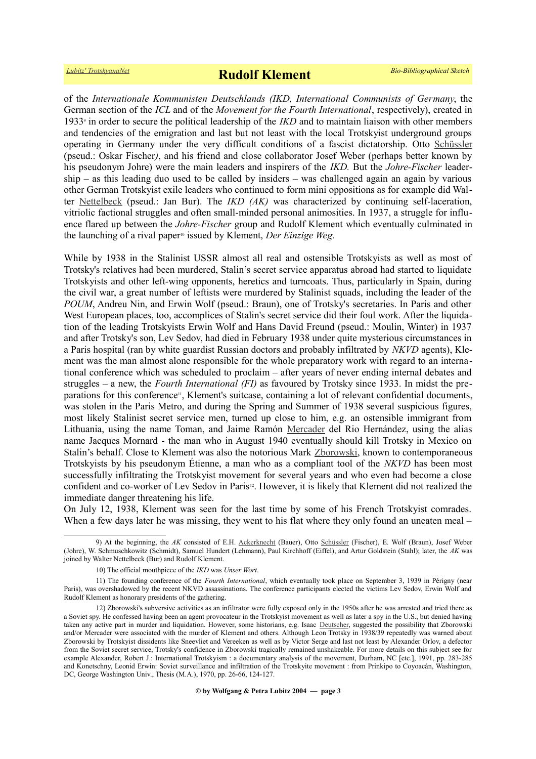of the *Internationale Kommunisten Deutschlands (IKD, International Communists of Germany*, the German section of the *ICL* and of the *Movement for the Fourth International*, respectively), created in 193[3](#page-2-0)<sup>9</sup> in order to secure the political leadership of the *IKD* and to maintain liaison with other members and tendencies of the emigration and last but not least with the local Trotskyist underground groups operating in Germany under the very difficult conditions of a fascist dictatorship. Otto [Schüssler](https://www.trotskyana.net/Trotskyists/Bio-Bibliographies/bio-bibl_schuessler.pdf) (pseud.: Oskar Fischer*)*, and his friend and close collaborator Josef Weber (perhaps better known by his pseudonym Johre) were the main leaders and inspirers of the *IKD.* But the *Johre-Fischer* leader $ship - as this leading due used to be called by insiders - was challenged again an again by various$ other German Trotskyist exile leaders who continued to form mini oppositions as for example did Walter [Nettelbeck](https://www.trotskyana.net/Trotskyists/Bio-Bibliographies/bio-bibl_nettelbeck.pdf) (pseud.: Jan Bur). The *IKD (AK)* was characterized by continuing self-laceration, vitriolic factional struggles and often small-minded personal animosities. In 1937, a struggle for influence flared up between the *Johre-Fischer* group and Rudolf Klement which eventually culminated in the launching of a rival paper<sup>[10](#page-2-1)</sup> issued by Klement, *Der Einzige Weg*.

While by 1938 in the Stalinist USSR almost all real and ostensible Trotskyists as well as most of Trotsky's relatives had been murdered, Stalin's secret service apparatus abroad had started to liquidate Trotskyists and other left-wing opponents, heretics and turncoats. Thus, particularly in Spain, during the civil war, a great number of leftists were murdered by Stalinist squads, including the leader of the *POUM*, Andreu Nin, and Erwin Wolf (pseud.: Braun), one of Trotsky's secretaries. In Paris and other West European places, too, accomplices of Stalin's secret service did their foul work. After the liquidation of the leading Trotskyists Erwin Wolf and Hans David Freund (pseud.: Moulin, Winter) in 1937 and after Trotsky's son, Lev Sedov, had died in February 1938 under quite mysterious circumstances in a Paris hospital (ran by white guardist Russian doctors and probably infiltrated by *NKVD* agents), Klement was the man almost alone responsible for the whole preparatory work with regard to an international conference which was scheduled to proclaim – after years of never ending internal debates and struggles – a new, the *Fourth International (FI)* as favoured by Trotsky since 1933. In midst the pre-parations for this conference<sup>[11](#page-2-2)</sup>, Klement's suitcase, containing a lot of relevant confidential documents, was stolen in the Paris Metro, and during the Spring and Summer of 1938 several suspicious figures, most likely Stalinist secret service men, turned up close to him, e.g. an ostensible immigrant from Lithuania, using the name Toman, and Jaime Ramón [Mercader](https://en.wikipedia.org/wiki/Ram%C3%B3n_Mercader) del Rio Hernández, using the alias name Jacques Mornard - the man who in August 1940 eventually should kill Trotsky in Mexico on Stalin's behalf. Close to Klement was also the notorious Mark [Zborowski,](https://en.wikipedia.org/wiki/Mark_Zborowski) known to contemporaneous Trotskyists by his pseudonym Étienne, a man who as a compliant tool of the *NKVD* has been most successfully infiltrating the Trotskyist movement for several years and who even had become a close confident and co-worker of Lev Sedov in Paris<sup>[12](#page-2-3)</sup>. However, it is likely that Klement did not realized the immediate danger threatening his life.

On July 12, 1938, Klement was seen for the last time by some of his French Trotskyist comrades. When a few days later he was missing, they went to his flat where they only found an uneaten meal –

<sup>9)</sup> At the beginning, the AK consisted of E.H. [Ackerknecht](https://www.trotskyana.net/Trotskyists/Bio-Bibliographies/bio-bibl_ackerknecht.pdf) (Bauer), Otto [Schüssler](https://www.trotskyana.net/Trotskyists/Bio-Bibliographies/bio-bibl_schuessler.pdf) (Fischer), E. Wolf (Braun), Josef Weber (Johre), W. Schmuschkowitz (Schmidt), Samuel Hundert (Lehmann), Paul Kirchhoff (Eiffel), and Artur Goldstein (Stahl); later, the *AK* was joined by Walter Nettelbeck (Bur) and Rudolf Klement.

<span id="page-2-3"></span><span id="page-2-2"></span><span id="page-2-1"></span><span id="page-2-0"></span><sup>10)</sup> The official mouthpiece of the *IKD* was *Unser Wort*.

<sup>11)</sup> The founding conference of the *Fourth International*, which eventually took place on September 3, 1939 in Périgny (near Paris), was overshadowed by the recent NKVD assassinations. The conference participants elected the victims Lev Sedov, Erwin Wolf and Rudolf Klement as honorary presidents of the gathering.

<sup>12)</sup> Zborowski's subversive activities as an infiltrator were fully exposed only in the 1950s after he was arrested and tried there as a Soviet spy. He confessed having been an agent provocateur in the Trotskyist movement as well as later a spy in the U.S., but denied having taken any active part in murder and liquidation. However, some historians, e.g. Isaac [Deutscher,](https://www.trotskyana.net/Trotskyists/Bio-Bibliographies/bio-bibl_deutscher_i.pdf) suggested the possibility that Zborowski and/or Mercader were associated with the murder of Klement and others. Although Leon Trotsky in 1938/39 repeatedly was warned about Zborowski by Trotskyist dissidents like Sneevliet and Vereeken as well as by Victor Serge and last not least by Alexander Orlov, a defector from the Soviet secret service, Trotsky's confidence in Zborowski tragically remained unshakeable. For more details on this subject see for example Alexander, Robert J.: International Trotskyism : a documentary analysis of the movement, Durham, NC [etc.], 1991, pp. 283-285 and Konetschny, Leonid Erwin: Soviet surveillance and infiltration of the Trotskyite movement : from Prinkipo to Coyoacán, Washington, DC, George Washington Univ., Thesis (M.A.), 1970, pp. 26-66, 124-127.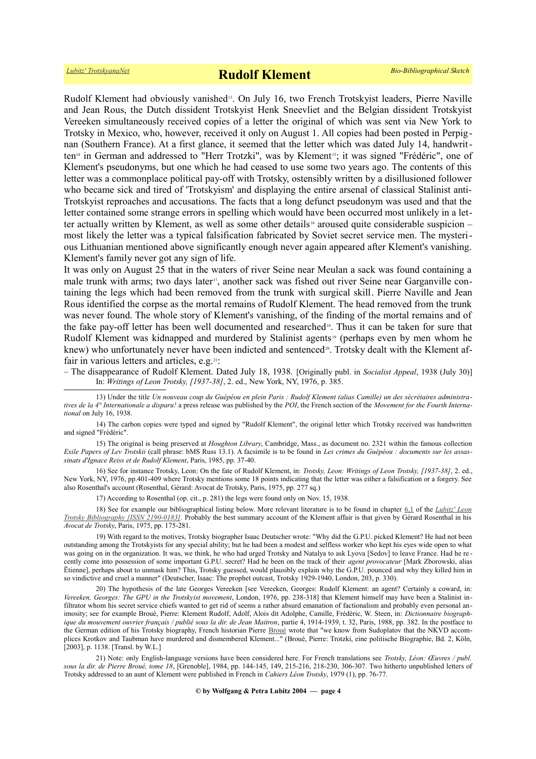Rudolf Klement had obviously vanished<sup>[13](#page-3-0)</sup>. On July 16, two French Trotskyist leaders, Pierre Naville and Jean Rous, the Dutch dissident Trotskyist Henk Sneevliet and the Belgian dissident Trotskyist Vereeken simultaneously received copies of a letter the original of which was sent via New York to Trotsky in Mexico, who, however, received it only on August 1. All copies had been posted in Perpignan (Southern France). At a first glance, it seemed that the letter which was dated July 14, handwrit-ten<sup>[14](#page-3-1)</sup> in German and addressed to "Herr Trotzki", was by Klement<sup>[15](#page-3-2)</sup>; it was signed "Frédéric", one of Klement's pseudonyms, but one which he had ceased to use some two years ago. The contents of this letter was a commonplace political pay-off with Trotsky, ostensibly written by a disillusioned follower who became sick and tired of 'Trotskyism' and displaying the entire arsenal of classical Stalinist anti-Trotskyist reproaches and accusations. The facts that a long defunct pseudonym was used and that the letter contained some strange errors in spelling which would have been occurred most unlikely in a let-ter actually written by Klement, as well as some other details<sup>[16](#page-3-3)</sup> aroused quite considerable suspicion – most likely the letter was a typical falsification fabricated by Soviet secret service men. The mysterious Lithuanian mentioned above significantly enough never again appeared after Klement's vanishing. Klement's family never got any sign of life.

It was only on August 25 that in the waters of river Seine near Meulan a sack was found containing a male trunk with arms; two days later<sup>[17](#page-3-4)</sup>, another sack was fished out river Seine near Garganville containing the legs which had been removed from the trunk with surgical skill. Pierre Naville and Jean Rous identified the corpse as the mortal remains of Rudolf Klement. The head removed from the trunk was never found. The whole story of Klement's vanishing, of the finding of the mortal remains and of the fake pay-off letter has been well documented and researched<sup>[18](#page-3-5)</sup>. Thus it can be taken for sure that Rudolf Klement was kidnapped and murdered by Stalinist agents<sup>[19](#page-3-6)</sup> (perhaps even by men whom he knew) who unfortunately never have been indicted and sentenced<sup>[20](#page-3-7)</sup>. Trotsky dealt with the Klement af-fair in various letters and articles, e.g.<sup>[21](#page-3-8)</sup>:

– The disappearance of Rudolf Klement. Dated July 18, 1938. [Originally publ. in *Socialist Appeal*, 1938 (July 30)] In: *Writings of Leon Trotsky, [1937-38]*, 2. ed., New York, NY, 1976, p. 385.

<span id="page-3-2"></span>15) The original is being preserved at *Houghton Library*, Cambridge, Mass., as document no. 2321 within the famous collection *Exile Papers of Lev Trotskii* (call phrase: bMS Russ 13.1). A facsimile is to be found in *Les crimes du Guépéou : documents sur les assassinats d'Ignace Reiss et de Rudolf Klement*, Paris, 1985, pp. 37-40.

16) See for instance Trotsky, Leon: On the fate of Rudolf Klement, in: *Trotsky, Leon: Writings of Leon Trotsky, [1937-38]*, 2. ed., New York, NY, 1976, pp.401-409 where Trotsky mentions some 18 points indicating that the letter was either a falsification or a forgery. See also Rosenthal's account (Rosenthal, Gérard: Avocat de Trotsky, Paris, 1975, pp. 277 sq.)

<span id="page-3-6"></span><span id="page-3-5"></span><span id="page-3-4"></span><span id="page-3-3"></span>17) According to Rosenthal (op. cit., p. 281) the legs were found only on Nov. 15, 1938.

18) See for example our bibliographical listing below. More relevant literature is to be found in chapter [6.1](https://www.trotskyana.net/LubitzBibliographies/Trotsky_Bibliography/Leon_Trotsky_Bibliography_06.html#c6.1) of the *[Lubitz' Leon](https://www.trotskyana.net/LubitzBibliographies/Trotsky_Bibliography/Leon_Trotsky_Bibliography.html) [Trotsky Bibliography \[ISSN 2190-0183\].](https://www.trotskyana.net/LubitzBibliographies/Trotsky_Bibliography/Leon_Trotsky_Bibliography.html)* Probably the best summary account of the Klement affair is that given by Gérard Rosenthal in his *Avocat de Trotsky*, Paris, 1975, pp. 175-281.

19) With regard to the motives, Trotsky biographer Isaac Deutscher wrote: "Why did the G.P.U. picked Klement? He had not been outstanding among the Trotskyists for any special ability; but he had been a modest and selfless worker who kept his eyes wide open to what was going on in the organization. It was, we think, he who had urged Trotsky and Natalya to ask Lyova [Sedov] to leave France. Had he re cently come into possession of some important G.P.U. secret? Had he been on the track of their *agent provocateur* [Mark Zborowski, alias Ētienne], perhaps about to unmask him? This, Trotsky guessed, would plausibly explain why the G.P.U. pounced and why they killed him in so vindictive and cruel a manner" (Deutscher, Isaac: The prophet outcast, Trotsky 1929-1940, London, 203, p. 330).

<span id="page-3-7"></span>20) The hypothesis of the late Georges Vereeken [see Vereeken, Georges: Rudolf Klement: an agent? Certainly a coward, in: *Vereeken, Georges: The GPU in the Trotskyist movement*, London, 1976, pp. 238-318] that Klement himself may have been a Stalinist infiltrator whom his secret service chiefs wanted to get rid of seems a rather absurd emanation of factionalism and probably even personal animosity; see for example Broué, Pierre: Klement Rudolf, Adolf, Alois dit Adolphe, Camille, Frédéric, W. Steen, in: *Dictionnaire biographique du mouvement ouvrier français / publié sous la dir. de Jean Maitron*, partie 4, 1914-1939, t. 32, Paris, 1988, pp. 382. In the postface to the German edition of his Trotsky biography, French historian Pierre [Broué](https://www.trotskyana.net/Trotskyists/Pierre_Broue/pierre_broue.html) wrote that "we know from Sudoplatov that the NKVD accomplices Krotkov and Taubman have murdered and dismembered Klement..." (Broué, Pierre: Trotzki, eine politische Biographie, Bd. 2, Köln, [2003], p. 1138. [Transl. by W.L.]

<span id="page-3-8"></span>21) Note: only English-language versions have been considered here. For French translations see *Trotsky, Léon: Œuvres / publ. sous la dir. de Pierre Broué, tome 18*, [Grenoble], 1984, pp. 144-145, 149, 215-216, 218-230, 306-307. Two hitherto unpublished letters of Trotsky addressed to an aunt of Klement were published in French in *Cahiers Léon Trotsky*, 1979 (1), pp. 76-77.

#### **© by Wolfgang & Petra Lubitz 2004 — page 4**

<span id="page-3-0"></span><sup>13)</sup> Under the title *Un nouveau coup du Guépéou en plein Paris : Rudolf Klement (alias Camille) un des sécrétaires administratives de la 4° Internationale a disparu!* a press release was published by the *POI*, the French section of the *Movement for the Fourth International* on July 16, 1938.

<span id="page-3-1"></span><sup>14)</sup> The carbon copies were typed and signed by "Rudolf Klement", the original letter which Trotsky received was handwritten and signed "Frédéric".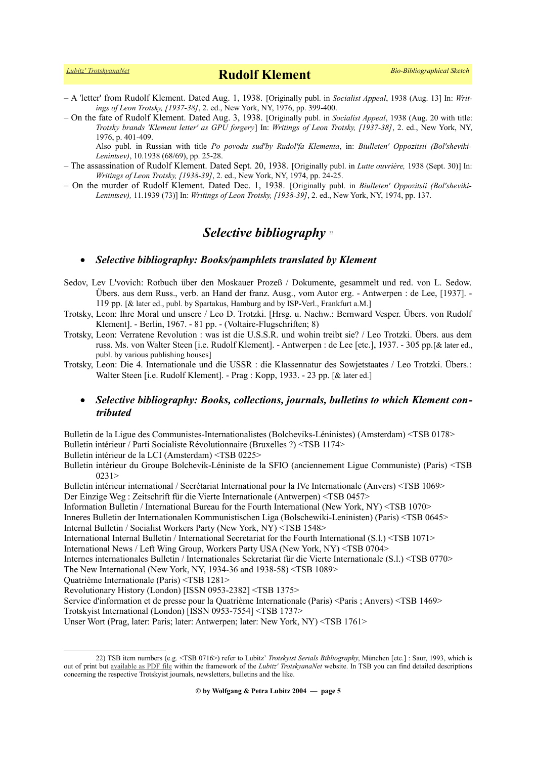*[Lubitz' TrotskyanaNet](https://www.trotskyana.net/)* **Rudolf Klement** *Bio-Bibliographical Sketch*

- A 'letter' from Rudolf Klement. Dated Aug. 1, 1938. [Originally publ. in *Socialist Appeal*, 1938 (Aug. 13] In: *Writings of Leon Trotsky, [1937-38]*, 2. ed., New York, NY, 1976, pp. 399-400.
- On the fate of Rudolf Klement. Dated Aug. 3, 1938. [Originally publ. in *Socialist Appeal*, 1938 (Aug. 20 with title: *Trotsky brands 'Klement letter' as GPU forgery*] In: *Writings of Leon Trotsky, [1937-38]*, 2. ed., New York, NY, 1976, p. 401-409.

Also publ. in Russian with title *Po povodu sud'by Rudol'fa Klementa*, in: *Biulleten' Oppozitsii (Bol'sheviki-Lenintsev)*, 10.1938 (68/69), pp. 25-28.

- The assassination of Rudolf Klement. Dated Sept. 20, 1938. [Originally publ. in *Lutte ouvrière,* 1938 (Sept. 30)] In: *Writings of Leon Trotsky, [1938-39]*, 2. ed., New York, NY, 1974, pp. 24-25.
- On the murder of Rudolf Klement. Dated Dec. 1, 1938. [Originally publ. in *Biulleten' Oppozitsii (Bol'sheviki-Lenintsev),* 11.1939 (73)] In: *Writings of Leon Trotsky, [1938-39]*, 2. ed., New York, NY, 1974, pp. 137.

# *Selective bibliography* [22](#page-4-0)

## *Selective bibliography: Books/pamphlets translated by Klement*

- Sedov, Lev L'vovich: Rotbuch über den Moskauer Prozeß / Dokumente, gesammelt und red. von L. Sedow. Übers. aus dem Russ., verb. an Hand der franz. Ausg., vom Autor erg. - Antwerpen : de Lee, [1937]. - 119 pp. [& later ed., publ. by Spartakus, Hamburg and by ISP-Verl., Frankfurt a.M.]
- Trotsky, Leon: Ihre Moral und unsere / Leo D. Trotzki. [Hrsg. u. Nachw.: Bernward Vesper. Übers. von Rudolf Klement]. - Berlin, 1967. - 81 pp. - (Voltaire-Flugschriften; 8)
- Trotsky, Leon: Verratene Revolution : was ist die U.S.S.R. und wohin treibt sie? / Leo Trotzki. Übers. aus dem russ. Ms. von Walter Steen [i.e. Rudolf Klement]. - Antwerpen : de Lee [etc.], 1937. - 305 pp.[& later ed., publ. by various publishing houses]
- Trotsky, Leon: Die 4. Internationale und die USSR : die Klassennatur des Sowjetstaates / Leo Trotzki. Übers.: Walter Steen [i.e. Rudolf Klement]. - Prag : Kopp, 1933. - 23 pp. [& later ed.]

## *Selective bibliography: Books, collections, journals, bulletins to which Klement contributed*

Bulletin de la Ligue des Communistes-Internationalistes (Bolcheviks-Léninistes) (Amsterdam) <TSB 0178> Bulletin intérieur / Parti Socialiste Révolutionnaire (Bruxelles ?) <TSB 1174>

Bulletin intérieur de la LCI (Amsterdam) <TSB 0225>

Bulletin intérieur du Groupe Bolchevik-Léniniste de la SFIO (anciennement Ligue Communiste) (Paris) <TSB 0231>

Bulletin intérieur international / Secrétariat International pour la IVe Internationale (Anvers) <TSB 1069> Der Einzige Weg : Zeitschrift für die Vierte Internationale (Antwerpen) <TSB 0457>

Information Bulletin / International Bureau for the Fourth International (New York, NY) <TSB 1070> Inneres Bulletin der Internationalen Kommunistischen Liga (Bolschewiki-Leninisten) (Paris) <TSB 0645> Internal Bulletin / Socialist Workers Party (New York, NY) <TSB 1548>

International Internal Bulletin / International Secretariat for the Fourth International (S.l.) <TSB 1071>

International News / Left Wing Group, Workers Party USA (New York, NY) <TSB 0704>

Internes internationales Bulletin / Internationales Sekretariat für die Vierte Internationale (S.l.) <TSB 0770> The New International (New York, NY, 1934-36 and 1938-58) <TSB 1089>

Quatrième Internationale (Paris) <TSB 1281>

Revolutionary History (London) [ISSN 0953-2382] <TSB 1375>

Service d'information et de presse pour la Quatrième Internationale (Paris) <Paris ; Anvers) <TSB 1469>

Trotskyist International (London) [ISSN 0953-7554] <TSB 1737>

Unser Wort (Prag, later: Paris; later: Antwerpen; later: New York, NY) <TSB 1761>

<span id="page-4-0"></span><sup>22)</sup> TSB item numbers (e.g. <TSB 0716>) refer to Lubitz' *Trotskyist Serials Bibliography*, München [etc.] : Saur, 1993, which is out of print but [available as PDF file](https://www.trotskyana.net/LubitzBibliographies/Serials_Bibliography/serials_bibliography.htm#PDF) within the framework of the *Lubitz' TrotskyanaNet* website. In TSB you can find detailed descriptions concerning the respective Trotskyist journals, newsletters, bulletins and the like.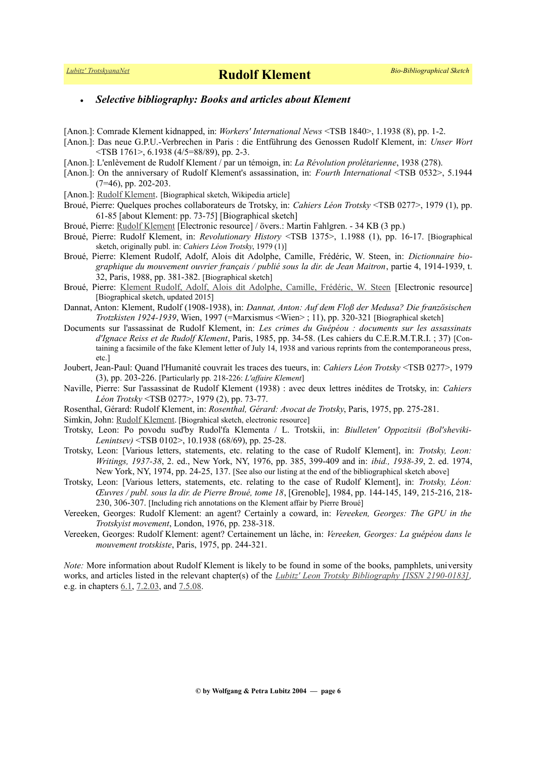# *[Lubitz' TrotskyanaNet](https://www.trotskyana.net/)* **Rudolf Klement** *Bio-Bibliographical Sketch*

## *Selective bibliography: Books and articles about Klement*

- [Anon.]: Comrade Klement kidnapped, in: *Workers' International News* <TSB 1840>, 1.1938 (8), pp. 1-2.
- [Anon.]: Das neue G.P.U.-Verbrechen in Paris : die Entführung des Genossen Rudolf Klement, in: *Unser Wort* <TSB 1761>, 6.1938 (4/5=88/89), pp. 2-3.
- [Anon.]: L'enlèvement de Rudolf Klement / par un témoign, in: *La Révolution prolétarienne*, 1938 (278).
- [Anon.]: On the anniversary of Rudolf Klement's assassination, in: *Fourth International* <TSB 0532>, 5.1944  $(7=46)$ , pp. 202-203.
- [Anon.]: [Rudolf Klement](https://de.wikipedia.org/wiki/Rudolf_Klement). [Biographical sketch, Wikipedia article]
- Broué, Pierre: Quelques proches collaborateurs de Trotsky, in: *Cahiers Léon Trotsky* <TSB 0277>, 1979 (1), pp. 61-85 [about Klement: pp. 73-75] [Biographical sketch]
- Broué, Pierre: [Rudolf Klement](http://www.marxistarkiv.de/klassiker/broue/klement.pdf) [Electronic resource] / övers.: Martin Fahlgren. 34 KB (3 pp.)
- Broué, Pierre: Rudolf Klement, in: *Revolutionary History* <TSB 1375>, 1.1988 (1), pp. 16-17. [Biographical sketch, originally publ. in: *Cahiers Léon Trotsky*, 1979 (1)]
- Broué, Pierre: Klement Rudolf, Adolf, Alois dit Adolphe, Camille, Frédéric, W. Steen, in: *Dictionnaire biographique du mouvement ouvrier français / publié sous la dir. de Jean Maitron*, partie 4, 1914-1939, t. 32, Paris, 1988, pp. 381-382. [Biographical sketch]
- Broué, Pierre: [Klement Rudolf, Adolf, Alois dit Adolphe, Camille, Frédéric, W. Steen](https://maitron.fr/spip.php?article97396) [Electronic resource] [Biographical sketch, updated 2015]
- Dannat, Anton: Klement, Rudolf (1908-1938), in: *Dannat, Anton: Auf dem Floß der Medusa? Die französischen Trotzkisten 1924-1939*, Wien, 1997 (=Marxismus <Wien> ; 11), pp. 320-321 [Biographical sketch]
- Documents sur l'assassinat de Rudolf Klement, in: *Les crimes du Guépéou : documents sur les assassinats d'Ignace Reiss et de Rudolf Klement*, Paris, 1985, pp. 34-58. (Les cahiers du C.E.R.M.T.R.I. ; 37) [Containing a facsimile of the fake Klement letter of July 14, 1938 and various reprints from the contemporaneous press, etc.]
- Joubert, Jean-Paul: Quand l'Humanité couvrait les traces des tueurs, in: *Cahiers Léon Trotsky* <TSB 0277>, 1979 (3), pp. 203-226. [Particularly pp. 218-226: *L'affaire Klement*]
- Naville, Pierre: Sur l'assassinat de Rudolf Klement (1938) : avec deux lettres inédites de Trotsky, in: *Cahiers Léon Trotsky* <TSB 0277>, 1979 (2), pp. 73-77.
- Rosenthal, Gérard: Rudolf Klement, in: *Rosenthal, Gérard: Avocat de Trotsky*, Paris, 1975, pp. 275-281.
- Simkin, John: [Rudolf Klement.](http://spartacus-educational.com/Rudolf_Klement.htm) [Biograhical sketch, electronic resource]
- Trotsky, Leon: Po povodu sud'by Rudol'fa Klementa / L. Trotskii, in: *Biulleten' Oppozitsii (Bol'sheviki-Lenintsev)* <TSB 0102>, 10.1938 (68/69), pp. 25-28.
- Trotsky, Leon: [Various letters, statements, etc. relating to the case of Rudolf Klement], in: *Trotsky, Leon: Writings, 1937-38*, 2. ed., New York, NY, 1976, pp. 385, 399-409 and in: *ibid., 1938-39*, 2. ed. 1974, New York, NY, 1974, pp. 24-25, 137. [See also our listing at the end of the bibliographical sketch above]
- Trotsky, Leon: [Various letters, statements, etc. relating to the case of Rudolf Klement], in: *Trotsky, Léon: Œuvres / publ. sous la dir. de Pierre Broué, tome 18*, [Grenoble], 1984, pp. 144-145, 149, 215-216, 218- 230, 306-307. [Including rich annotations on the Klement affair by Pierre Broué]
- Vereeken, Georges: Rudolf Klement: an agent? Certainly a coward, in: *Vereeken, Georges: The GPU in the Trotskyist movement*, London, 1976, pp. 238-318.
- Vereeken, Georges: Rudolf Klement: agent? Certainement un lâche, in: *Vereeken, Georges: La guépéou dans le mouvement trotskiste*, Paris, 1975, pp. 244-321.

*Note:* More information about Rudolf Klement is likely to be found in some of the books, pamphlets, university works, and articles listed in the relevant chapter(s) of the *[Lubitz' Leon Trotsky Bibliography \[ISSN 2190-0183\],](https://www.trotskyana.net/LubitzBibliographies/Trotsky_Bibliography/Leon_Trotsky_Bibliography.html)* e.g. in chapters [6.1,](https://www.trotskyana.net/LubitzBibliographies/Trotsky_Bibliography/Leon_Trotsky_Bibliography_06.html#c6.1) [7.2.03,](https://www.trotskyana.net/LubitzBibliographies/Trotsky_Bibliography/Leon_Trotsky_Bibliography_07.html#c7.2.03) and [7.5.08.](https://www.trotskyana.net/LubitzBibliographies/Trotsky_Bibliography/Leon_Trotsky_Bibliography_07.html#c7.5.08)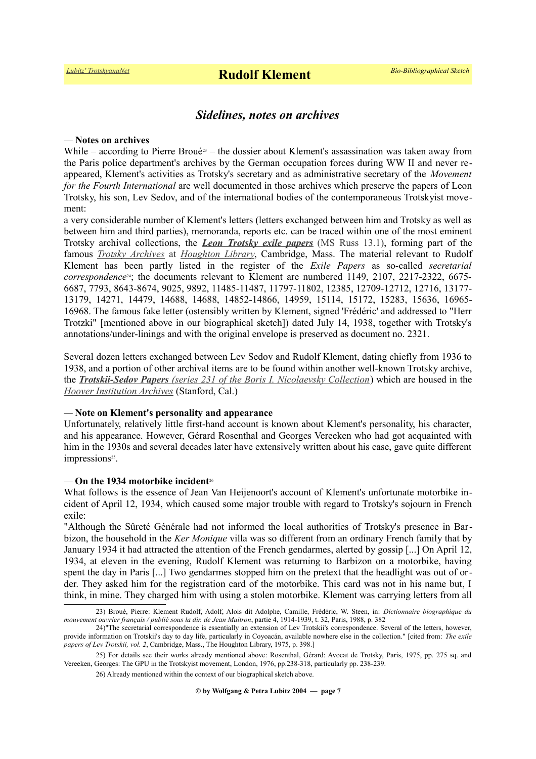# *Sidelines, notes on archives*

#### *—* **Notes on archives**

While – according to Pierre Broué<sup>[23](#page-6-0)</sup> – the dossier about Klement's assassination was taken away from the Paris police department's archives by the German occupation forces during WW II and never reappeared, Klement's activities as Trotsky's secretary and as administrative secretary of the *Movement for the Fourth International* are well documented in those archives which preserve the papers of Leon Trotsky, his son, Lev Sedov, and of the international bodies of the contemporaneous Trotskyist movement:

a very considerable number of Klement's letters (letters exchanged between him and Trotsky as well as between him and third parties), memoranda, reports etc. can be traced within one of the most eminent Trotsky archival collections, the *[Leon Trotsky exile papers](https://hollisarchives.lib.harvard.edu/repositories/24/resources/6706)* (MS Russ 13.1), forming part of the famous *[Trotsky Archives](https://www.trotskyana.net/Research_facilities/PublicArchives_America/publicarchives_america.html#houghton)* at *[Houghton Library](https://www.trotskyana.net/Research_facilities/PublicArchives_America/publicarchives_america.html#houghton)*, Cambridge, Mass. The material relevant to Rudolf Klement has been partly listed in the register of the *Exile Papers* as so-called *secretarial correspondence*[24](#page-6-1); the documents relevant to Klement are numbered 1149, 2107, 2217-2322, 6675- 6687, 7793, 8643-8674, 9025, 9892, 11485-11487, 11797-11802, 12385, 12709-12712, 12716, 13177- 13179, 14271, 14479, 14688, 14688, 14852-14866, 14959, 15114, 15172, 15283, 15636, 16965- 16968. The famous fake letter (ostensibly written by Klement, signed 'Frédéric' and addressed to "Herr Trotzki" [mentioned above in our biographical sketch]) dated July 14, 1938, together with Trotsky's annotations/under-linings and with the original envelope is preserved as document no. 2321.

Several dozen letters exchanged between Lev Sedov and Rudolf Klement, dating chiefly from 1936 to 1938, and a portion of other archival items are to be found within another well-known Trotsky archive, the *[Trotskii-Sedov Papers](http://www.oac.cdlib.org/findaid/ark:/13030/tf7290056t/) [\(series 231 of the Boris I. Nicolaevsky Collection](http://www.oac.cdlib.org/findaid/ark:/13030/tf7290056t/)*) which are housed in the *[Hoover Institution Archives](https://www.trotskyana.net/Research_facilities/PublicArchives_America/publicarchives_america.html#hoover)* (Stanford, Cal.)

### *—* **Note on Klement's personality and appearance**

Unfortunately, relatively little first-hand account is known about Klement's personality, his character, and his appearance. However, Gérard Rosenthal and Georges Vereeken who had got acquainted with him in the 1930s and several decades later have extensively written about his case, gave quite different impressions<sup>[25](#page-6-2)</sup>.

### *—* **On the 1934 motorbike incident**[26](#page-6-3)

What follows is the essence of Jean Van Heijenoort's account of Klement's unfortunate motorbike incident of April 12, 1934, which caused some major trouble with regard to Trotsky's sojourn in French exile:

"Although the Sûreté Générale had not informed the local authorities of Trotsky's presence in Barbizon, the household in the *Ker Monique* villa was so different from an ordinary French family that by January 1934 it had attracted the attention of the French gendarmes, alerted by gossip [...] On April 12, 1934, at eleven in the evening, Rudolf Klement was returning to Barbizon on a motorbike, having spent the day in Paris [...] Two gendarmes stopped him on the pretext that the headlight was out of order. They asked him for the registration card of the motorbike. This card was not in his name but, I think, in mine. They charged him with using a stolen motorbike. Klement was carrying letters from all

<span id="page-6-0"></span><sup>23)</sup> Broué, Pierre: Klement Rudolf, Adolf, Alois dit Adolphe, Camille, Frédéric, W. Steen, in: *Dictionnaire biographique du mouvement ouvrier français / publié sous la dir. de Jean Maitron*, partie 4, 1914-1939, t. 32, Paris, 1988, p. 382

<span id="page-6-1"></span><sup>24)&</sup>quot;The secretarial correspondence is essentially an extension of Lev Trotskii's correspondence. Several of the letters, however, provide information on Trotskii's day to day life, particularly in Coyoacán, available nowhere else in the collection." [cited from: *The exile papers of Lev Trotskii, vol. 2*, Cambridge, Mass., The Houghton Library, 1975, p. 398.]

<sup>25)</sup> For details see their works already mentioned above: Rosenthal, Gérard: Avocat de Trotsky, Paris, 1975, pp. 275 sq. and Vereeken, Georges: The GPU in the Trotskyist movement, London, 1976, pp.238-318, particularly pp. 238-239.

<span id="page-6-3"></span><span id="page-6-2"></span><sup>26)</sup> Already mentioned within the context of our biographical sketch above.